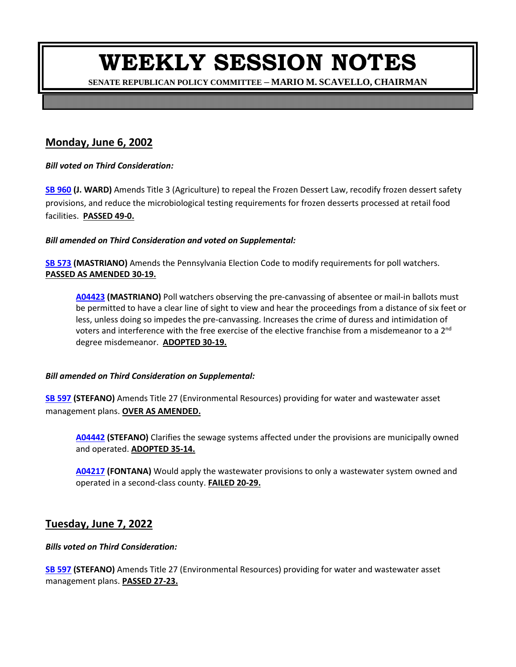**SENATE REPUBLICAN POLICY COMMITTEE – MARIO M. SCAVELLO, CHAIRMAN**

<u> Harry Harry Harry</u>

### **Monday, June 6, 2002**

*Bill voted on Third Consideration:*

**[SB 960](https://ldpc6.legis.state.pa.us/cfdocs/billinfo/billinfo.cfm?sYear=2021&sInd=0&body=S&type=B&bn=0960) (J. WARD)** Amends Title 3 (Agriculture) to repeal the Frozen Dessert Law, recodify frozen dessert safety provisions, and reduce the microbiological testing requirements for frozen desserts processed at retail food facilities. **PASSED 49-0.**

*Bill amended on Third Consideration and voted on Supplemental:*

**[SB 573](https://ldpc6.legis.state.pa.us/cfdocs/billinfo/billinfo.cfm?sYear=2021&sInd=0&body=S&type=B&bn=0573) (MASTRIANO)** Amends the Pennsylvania Election Code to modify requirements for poll watchers. **PASSED AS AMENDED 30-19.**

**[A04423](https://ldpc6.legis.state.pa.us/cfdocs/legis/HA/public/HaCheck.cfm?txtType=HTM&sYear=2021&sInd=0&body=S&type=B&bn=0573&pn=0612&aYear=2021&an=04423) (MASTRIANO)** Poll watchers observing the pre-canvassing of absentee or mail-in ballots must be permitted to have a clear line of sight to view and hear the proceedings from a distance of six feet or less, unless doing so impedes the pre-canvassing. Increases the crime of duress and intimidation of voters and interference with the free exercise of the elective franchise from a misdemeanor to a  $2^{nd}$ degree misdemeanor. **ADOPTED 30-19.** 

#### *Bill amended on Third Consideration on Supplemental:*

**[SB 597](https://ldpc6.legis.state.pa.us/cfdocs/billinfo/billinfo.cfm?sYear=2021&sInd=0&body=S&type=B&bn=0597) (STEFANO)** Amends Title 27 (Environmental Resources) providing for water and wastewater asset management plans. **OVER AS AMENDED.**

**[A04442](https://ldpc6.legis.state.pa.us/cfdocs/legis/HA/public/HaCheck.cfm?txtType=HTM&sYear=2021&sInd=0&body=S&type=B&bn=0597&pn=1579&aYear=2021&an=04442) (STEFANO)** Clarifies the sewage systems affected under the provisions are municipally owned and operated. **ADOPTED 35-14.**

**[A04217](https://ldpc6.legis.state.pa.us/cfdocs/legis/HA/public/HaCheck.cfm?txtType=HTM&sYear=2021&sInd=0&body=S&type=B&bn=0597&pn=1579&aYear=2021&an=04217) (FONTANA)** Would apply the wastewater provisions to only a wastewater system owned and operated in a second-class county. **FAILED 20-29.**

#### **Tuesday, June 7, 2022**

#### *Bills voted on Third Consideration:*

**SB [597](https://ldpc6.legis.state.pa.us/cfdocs/billinfo/billinfo.cfm?sYear=2021&sInd=0&body=S&type=B&bn=0597) (STEFANO)** Amends Title 27 (Environmental Resources) providing for water and wastewater asset management plans. **PASSED 27-23.**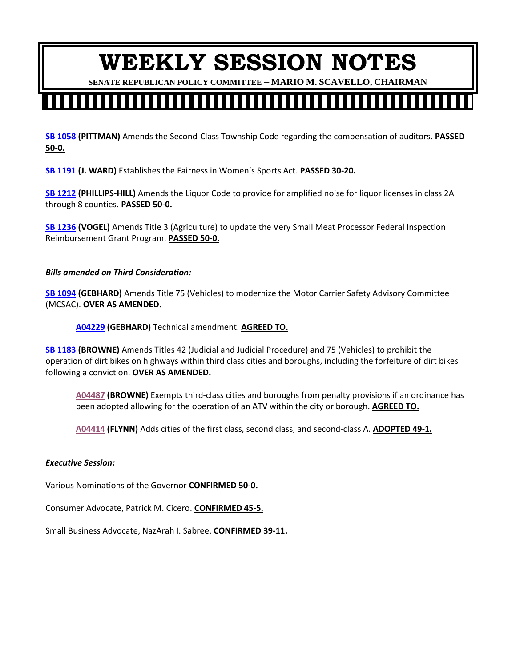**SENATE REPUBLICAN POLICY COMMITTEE – MARIO M. SCAVELLO, CHAIRMAN**

**[SB 1058](https://ldpc6.legis.state.pa.us/cfdocs/billinfo/billinfo.cfm?sYear=2021&sInd=0&body=S&type=B&bn=1058) (PITTMAN)** Amends the Second-Class Township Code regarding the compensation of auditors. **PASSED 50-0.**

**[SB 1191](https://ldpc6.legis.state.pa.us/cfdocs/billinfo/billinfo.cfm?sYear=2021&sInd=0&body=S&type=B&bn=1191) (J. WARD)** Establishes the Fairness in Women's Sports Act. **PASSED 30-20.**

**[SB 1212](https://ldpc6.legis.state.pa.us/cfdocs/billinfo/billinfo.cfm?sYear=2021&sInd=0&body=S&type=B&bn=1212) (PHILLIPS-HILL)** Amends the Liquor Code to provide for amplified noise for liquor licenses in class 2A through 8 counties. **PASSED 50-0.**

**[SB 1236](https://ldpc6.legis.state.pa.us/cfdocs/billinfo/billinfo.cfm?sYear=2021&sInd=0&body=S&type=B&bn=1236) (VOGEL)** Amends Title 3 (Agriculture) to update the Very Small Meat Processor Federal Inspection Reimbursement Grant Program. **PASSED 50-0.**

*Bills amended on Third Consideration:* 

**SB [1094](https://ldpc6.legis.state.pa.us/cfdocs/billinfo/billinfo.cfm?sYear=2021&sInd=0&body=S&type=B&bn=1094) (GEBHARD)** Amends Title 75 (Vehicles) to modernize the Motor Carrier Safety Advisory Committee (MCSAC). **OVER AS AMENDED.**

**[A04229](https://ldpc6.legis.state.pa.us/cfdocs/legis/HA/public/HaCheck.cfm?txtType=HTM&sYear=2021&sInd=0&body=S&type=B&bn=1094&pn=1419&aYear=2021&an=04229) (GEBHARD)** Technical amendment. **AGREED TO.**

**[SB 1183](https://ldpc6.legis.state.pa.us/cfdocs/billinfo/billinfo.cfm?sYear=2021&sInd=0&body=S&type=B&bn=1183) (BROWNE)** Amends Titles 42 (Judicial and Judicial Procedure) and 75 (Vehicles) to prohibit the operation of dirt bikes on highways within third class cities and boroughs, including the forfeiture of dirt bikes following a conviction. **OVER AS AMENDED.** 

**[A04487](https://ldpc6.legis.state.pa.us/cfdocs/legis/HA/public/HaCheck.cfm?txtType=HTM&sYear=2021&sInd=0&body=S&type=B&bn=1183&pn=1686&aYear=2021&an=04487) (BROWNE)** Exempts third-class cities and boroughs from penalty provisions if an ordinance has been adopted allowing for the operation of an ATV within the city or borough. **AGREED TO.**

**[A04414](https://ldpc6.legis.state.pa.us/cfdocs/legis/HA/public/HaCheck.cfm?txtType=HTM&sYear=2021&sInd=0&body=S&type=B&bn=1183&pn=1686&aYear=2021&an=04414) (FLYNN)** Adds cities of the first class, second class, and second-class A. **ADOPTED 49-1.**

#### *Executive Session:*

Various Nominations of the Governor **CONFIRMED 50-0.**

Consumer Advocate, Patrick M. Cicero. **CONFIRMED 45-5.**

Small Business Advocate, NazArah I. Sabree. **CONFIRMED 39-11.**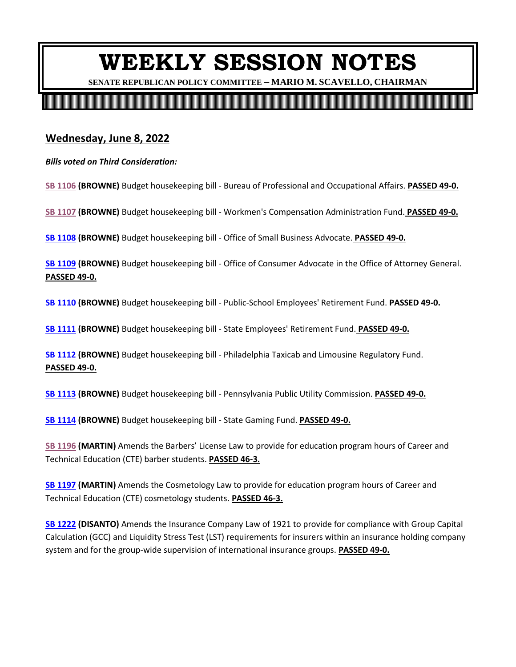**SENATE REPUBLICAN POLICY COMMITTEE – MARIO M. SCAVELLO, CHAIRMAN**

### **Wednesday, June 8, 2022**

*Bills voted on Third Consideration:*

**[SB 1106](https://ldpc6.legis.state.pa.us/cfdocs/billinfo/billinfo.cfm?sYear=2021&sInd=0&body=S&type=B&bn=1106) (BROWNE)** Budget housekeeping bill - Bureau of Professional and Occupational Affairs. **PASSED 49-0.**

**[SB 1107](https://ldpc6.legis.state.pa.us/cfdocs/billinfo/billinfo.cfm?sYear=2021&sInd=0&body=S&type=B&bn=1107) (BROWNE)** Budget housekeeping bill - Workmen's Compensation Administration Fund. **PASSED 49-0.**

**[SB 1108](https://ldpc6.legis.state.pa.us/cfdocs/billinfo/billinfo.cfm?sYear=2021&sInd=0&body=S&type=B&bn=1108) (BROWNE)** Budget housekeeping bill - Office of Small Business Advocate. **PASSED 49-0.**

**[SB 1109](https://ldpc6.legis.state.pa.us/cfdocs/billinfo/billinfo.cfm?sYear=2021&sInd=0&body=S&type=B&bn=1109) (BROWNE)** Budget housekeeping bill - Office of Consumer Advocate in the Office of Attorney General. **PASSED 49-0.**

**[SB 1110](https://ldpc6.legis.state.pa.us/cfdocs/billinfo/billinfo.cfm?sYear=2021&sInd=0&body=S&type=B&bn=1110) (BROWNE)** Budget housekeeping bill - Public-School Employees' Retirement Fund. **PASSED 49-0.**

**[SB 1111](https://ldpc6.legis.state.pa.us/cfdocs/billinfo/billinfo.cfm?sYear=2021&sInd=0&body=S&type=B&bn=1111) (BROWNE)** Budget housekeeping bill - State Employees' Retirement Fund. **PASSED 49-0.**

**[SB 1112](https://ldpc6.legis.state.pa.us/cfdocs/billinfo/billinfo.cfm?sYear=2021&sInd=0&body=S&type=B&bn=1112) (BROWNE)** Budget housekeeping bill - Philadelphia Taxicab and Limousine Regulatory Fund. **PASSED 49-0.**

**[SB 1113](https://ldpc6.legis.state.pa.us/cfdocs/billinfo/billinfo.cfm?sYear=2021&sInd=0&body=S&type=B&bn=1113) (BROWNE)** Budget housekeeping bill - Pennsylvania Public Utility Commission. **PASSED 49-0.**

**[SB 1114](https://ldpc6.legis.state.pa.us/cfdocs/billinfo/billinfo.cfm?sYear=2021&sInd=0&body=S&type=B&bn=1114) (BROWNE)** Budget housekeeping bill - State Gaming Fund. **PASSED 49-0.**

**SB [1196](https://ldpc6.legis.state.pa.us/cfdocs/billinfo/billinfo.cfm?sYear=2021&sInd=0&body=S&type=B&bn=1196) (MARTIN)** Amends the Barbers' License Law to provide for education program hours of Career and Technical Education (CTE) barber students. **PASSED 46-3.**

**[SB 1197](https://ldpc6.legis.state.pa.us/cfdocs/billinfo/billinfo.cfm?sYear=2021&sInd=0&body=S&type=B&bn=1197) (MARTIN)** Amends the Cosmetology Law to provide for education program hours of Career and Technical Education (CTE) cosmetology students. **PASSED 46-3.**

**SB [1222](https://ldpc6.legis.state.pa.us/cfdocs/billinfo/billinfo.cfm?sYear=2021&sInd=0&body=S&type=B&bn=1222) (DISANTO)** Amends the Insurance Company Law of 1921 to provide for compliance with Group Capital Calculation (GCC) and Liquidity Stress Test (LST) requirements for insurers within an insurance holding company system and for the group-wide supervision of international insurance groups. **PASSED 49-0.**